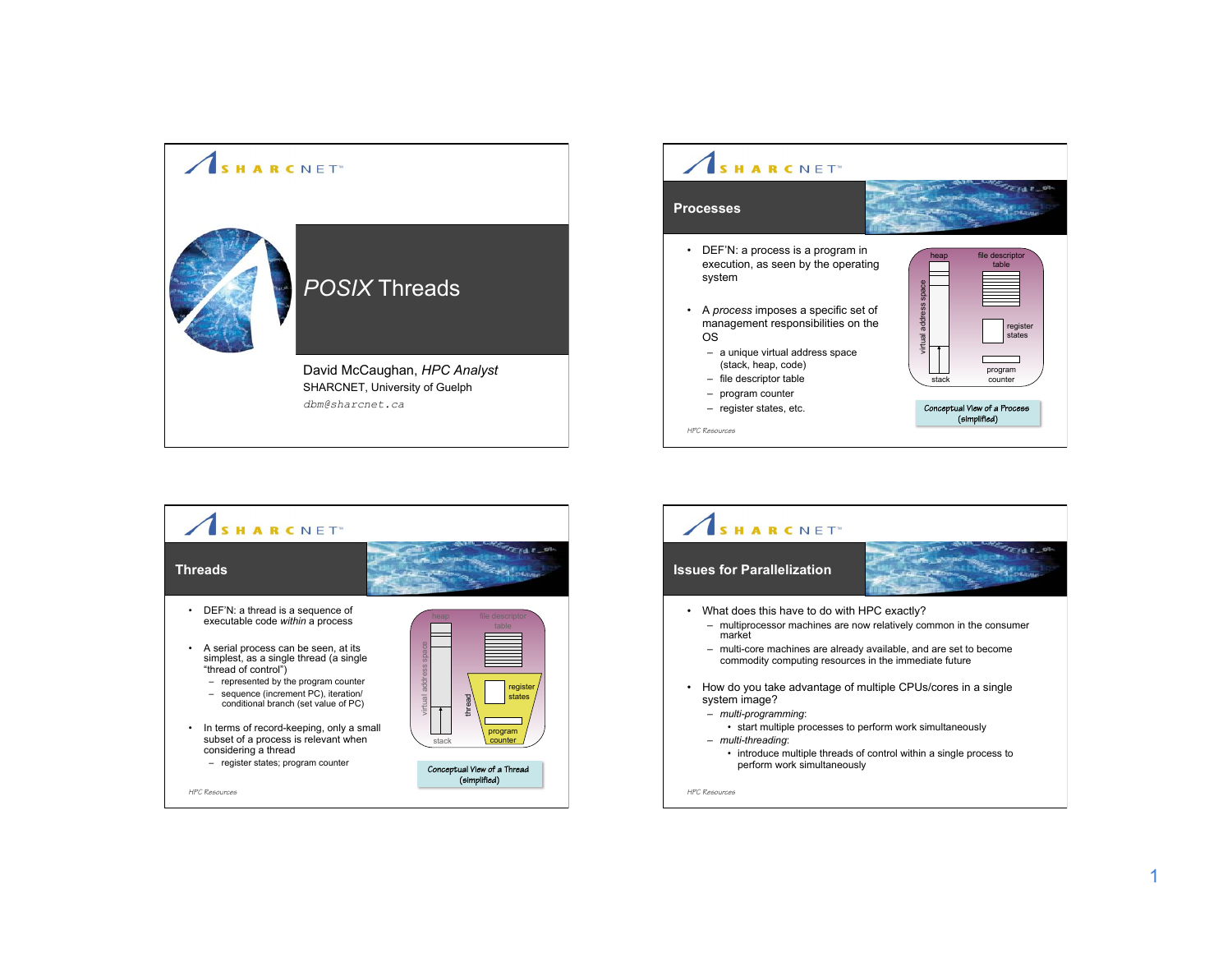



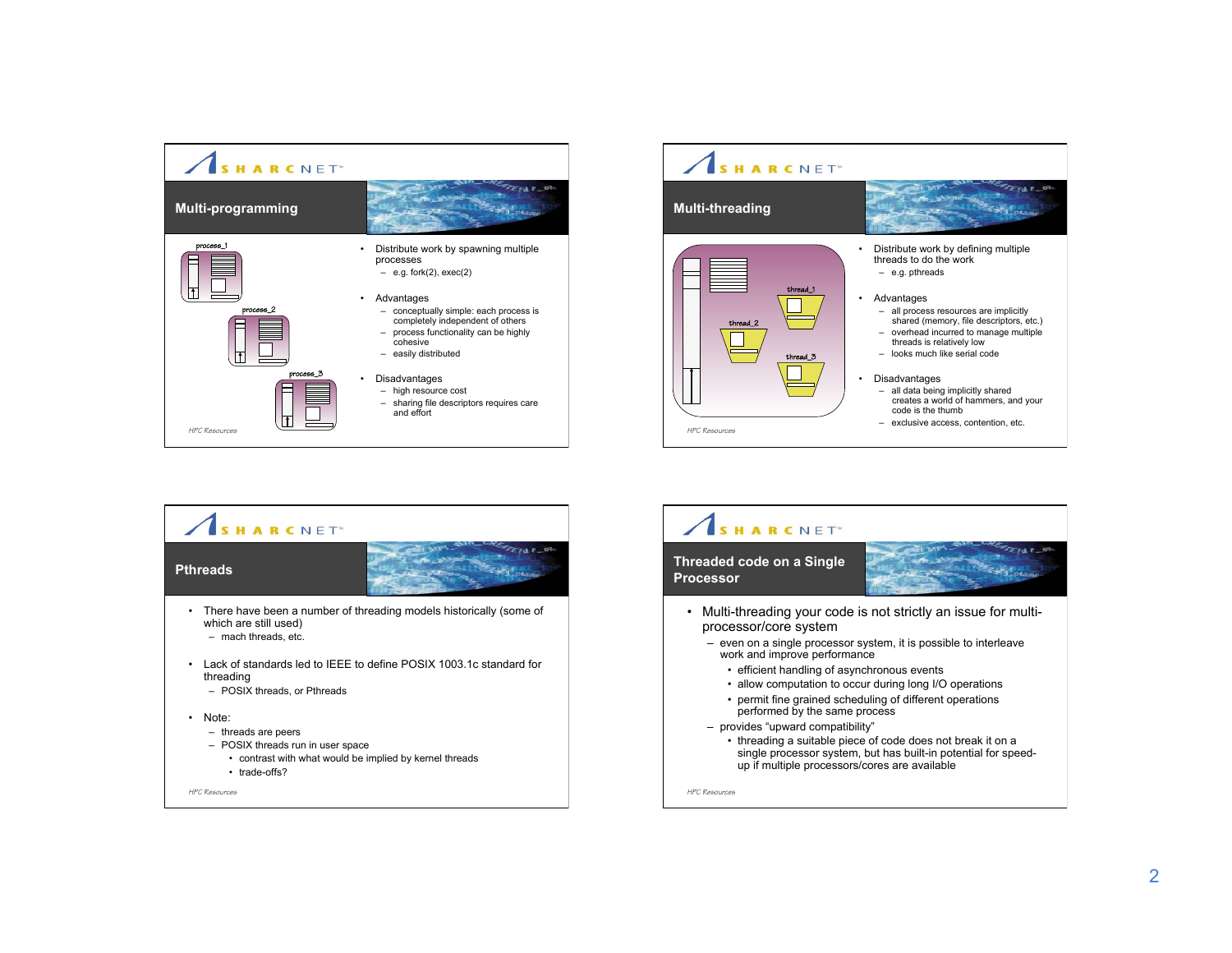





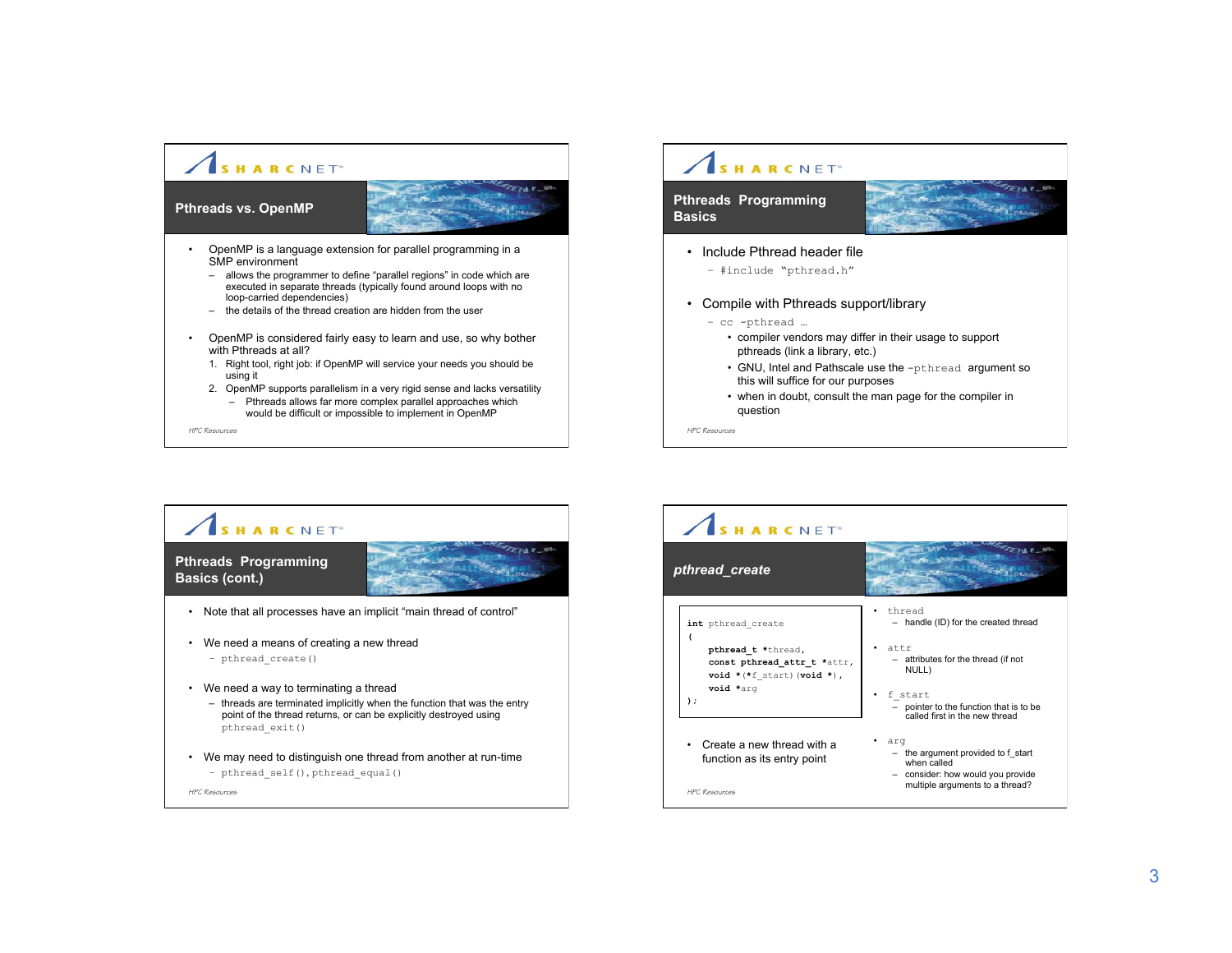### SHARCNET<sup>®</sup>  $2141$  $z_{t+1}$ **Pthreads vs. OpenMP**  • OpenMP is a language extension for parallel programming in a SMP environment – allows the programmer to define "parallel regions" in code which are executed in separate threads (typically found around loops with no loop-carried dependencies) – the details of the thread creation are hidden from the user • OpenMP is considered fairly easy to learn and use, so why bother with Pthreads at all? 1. Right tool, right job: if OpenMP will service your needs you should be using it 2. OpenMP supports parallelism in a very rigid sense and lacks versatility

– Pthreads allows far more complex parallel approaches which would be difficult or impossible to implement in OpenMP

*HPC Resources*

## SHARCNET<sup>®</sup>

### **Pthreads Programming Basics**



- Include Pthread header file
	- #include "pthread.h"
- Compile with Pthreads support/library
	- cc -pthread …
		- compiler vendors may differ in their usage to support pthreads (link a library, etc.)
		- GNU, Intel and Pathscale use the -pthread argument so this will suffice for our purposes
		- when in doubt, consult the man page for the compiler in question

*HPC Resources*



#### SHARCNET<sup>®</sup>  $F \times F$ *pthread\_create*  $z_{t-1}$  stand • thread **int** pthread\_create – handle (ID) for the created thread **(** • attr **pthread\_t \***thread**,** – attributes for the thread (if not **const pthread\_attr\_t \***attr**,** NULL)  $\text{void } *(* \text{f} \text{ start}) (\text{void } *)$ , **void \***arg • f\_start **);**  – pointer to the function that is to be called first in the new thread • Create a new thread with a • arg – the argument provided to f\_start function as its entry point when called – consider: how would you provide multiple arguments to a thread? *HPC Resources*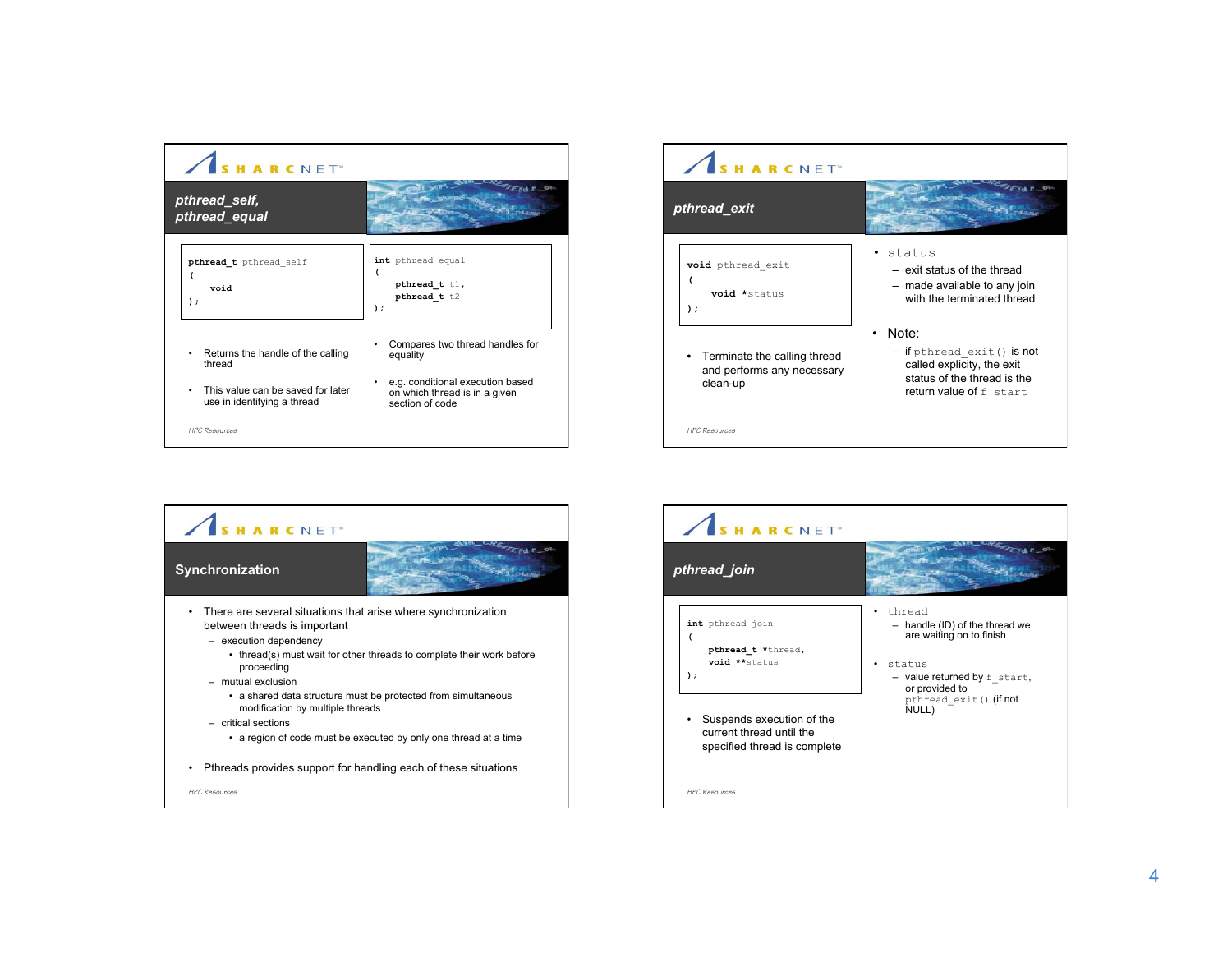| <b>ARCNET</b>                                                    |                                                                                      |
|------------------------------------------------------------------|--------------------------------------------------------------------------------------|
| pthread_self,<br>pthread equal                                   |                                                                                      |
| pthread t pthread self<br>void<br>$)$ ;                          | int pthread equal<br>pthread t tl,<br>pthread t t2<br>,                              |
| Returns the handle of the calling<br>thread                      | Compares two thread handles for<br>equality                                          |
| This value can be saved for later<br>use in identifying a thread | e.g. conditional execution based<br>on which thread is in a given<br>section of code |
| <b>HPC Resources</b>                                             |                                                                                      |





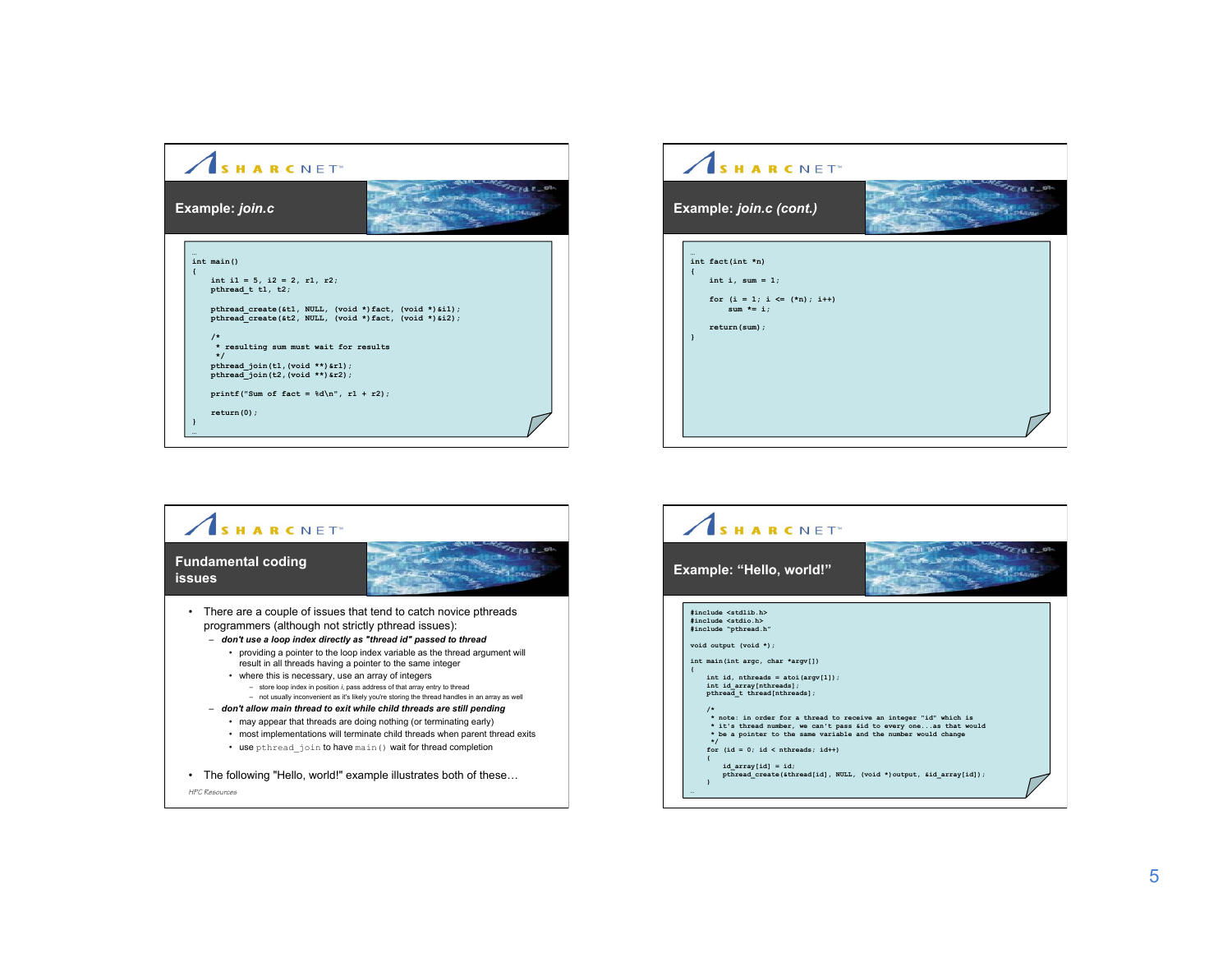





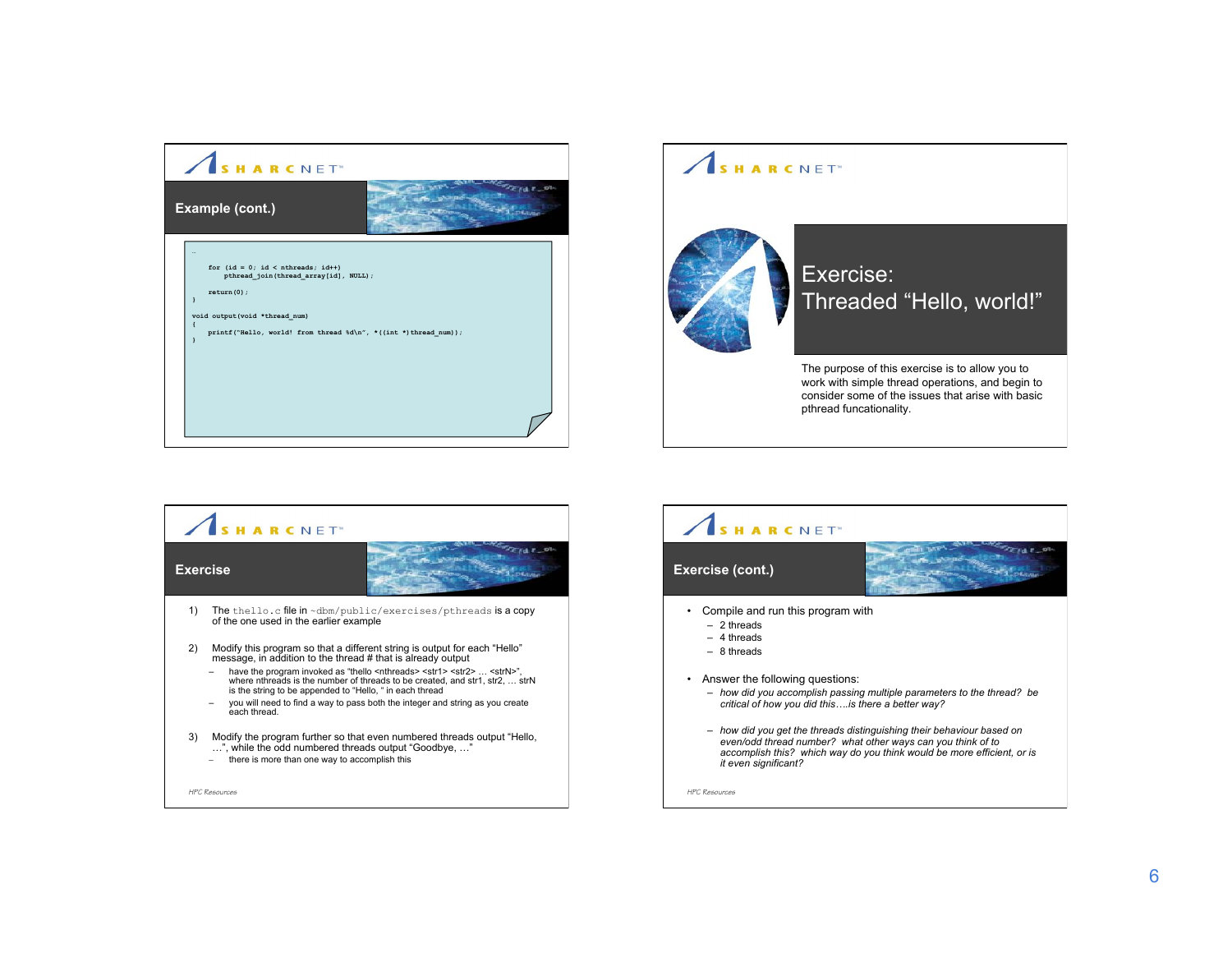

# SHARCNET<sup>®</sup>



## Exercise: Threaded "Hello, world!"

The purpose of this exercise is to allow you to work with simple thread operations, and begin to consider some of the issues that arise with basic pthread funcationality.

## SHARCNET<sup>®</sup>  $2741 - 9$ **Exercise**   $z_{t+1}$ 1) The thello.c file in ~dbm/public/exercises/pthreads is a copy of the one used in the earlier example 2) Modify this program so that a different string is output for each "Hello" message, in addition to the thread # that is already output - have the program invoked as "thello <nthreads> <str1> <str12> ... <strN>", where nthreads is the number of threads to be created, and str1, str2, ... strN<br>is the string to be appended to "Hello, " in each thread – you will need to find a way to pass both the integer and string as you create each thread. 3) Modify the program further so that even numbered threads output "Hello, …", while the odd numbered threads output "Goodbye, …" – there is more than one way to accomplish this *HPC Resources*

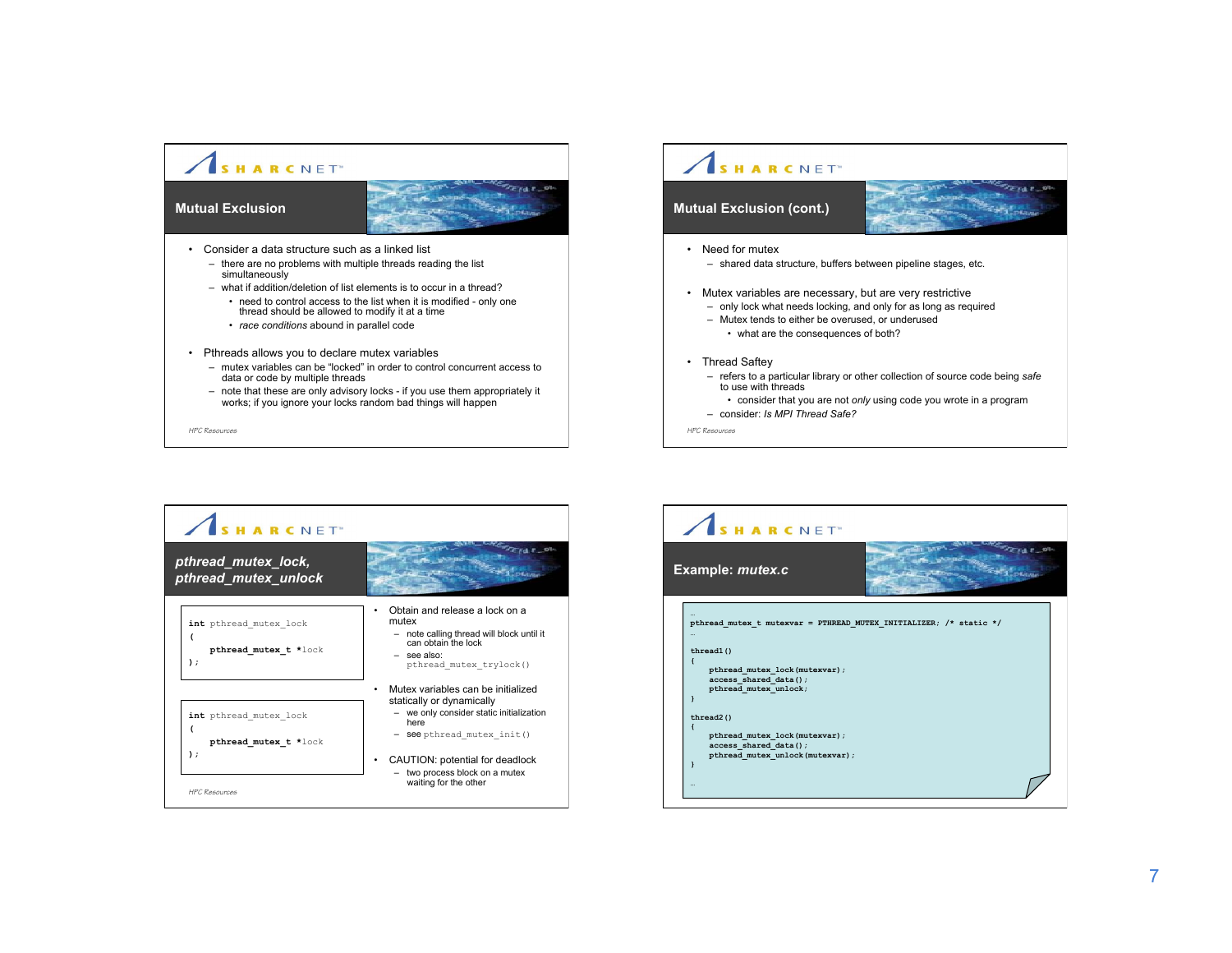

## SHARCNET<sup>®</sup>

### **Mutual Exclusion (cont.)**



- Need for mutex
	- shared data structure, buffers between pipeline stages, etc.
- Mutex variables are necessary, but are very restrictive
	- only lock what needs locking, and only for as long as required
	- Mutex tends to either be overused, or underused • what are the consequences of both?
- Thread Saftey

*HPC Resources*

- refers to a particular library or other collection of source code being *safe* to use with threads
- consider that you are not *only* using code you wrote in a program

– consider: *Is MPI Thread Safe?*

SHARCNET<sup>®</sup>  $2742 - 9$ *pthread\_mutex\_lock,*   $z_{\rm H, 1.7}$ *pthread\_mutex\_unlock* • Obtain and release a lock on a **int** pthread\_mutex\_lock mutex – note calling thread will block until it **(** can obtain the lock **pthread\_mutex\_t \***lock – see also: **);**  pthread\_mutex\_trylock() • Mutex variables can be initialized statically or dynamically – we only consider static initialization **int** pthread\_mutex\_lock here **(** – see pthread\_mutex\_init() **pthread\_mutex\_t \***lock **);** • CAUTION: potential for deadlock – two process block on a mutex waiting for the other *HPC Resources*

*HPC Resources*

SHARCNET<sup>®</sup>  $F \times F$ **Example:** *mutex.c* **Existen … pthread\_mutex\_t mutexvar = PTHREAD\_MUTEX\_INITIALIZER; /\* static \*/ … thread1() { pthread\_mutex\_lock(mutexvar); access\_shared\_data(); pthread\_mutex\_unlock; } thread2() { pthread\_mutex\_lock(mutexvar); access\_shared\_data(); pthread\_mutex\_unlock(mutexvar); } …**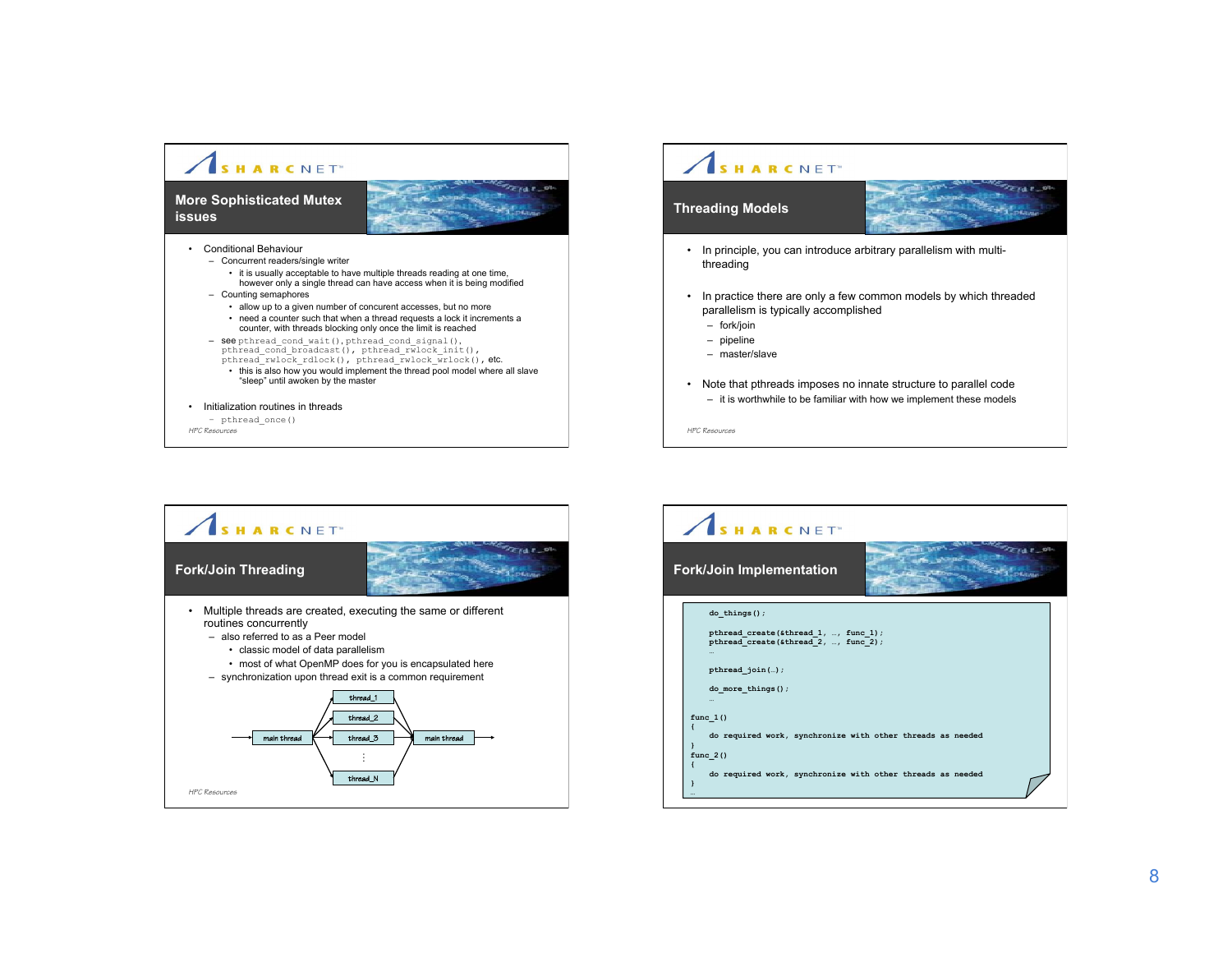





FIAT S  $\mathbb{Z}_{t+1,n}$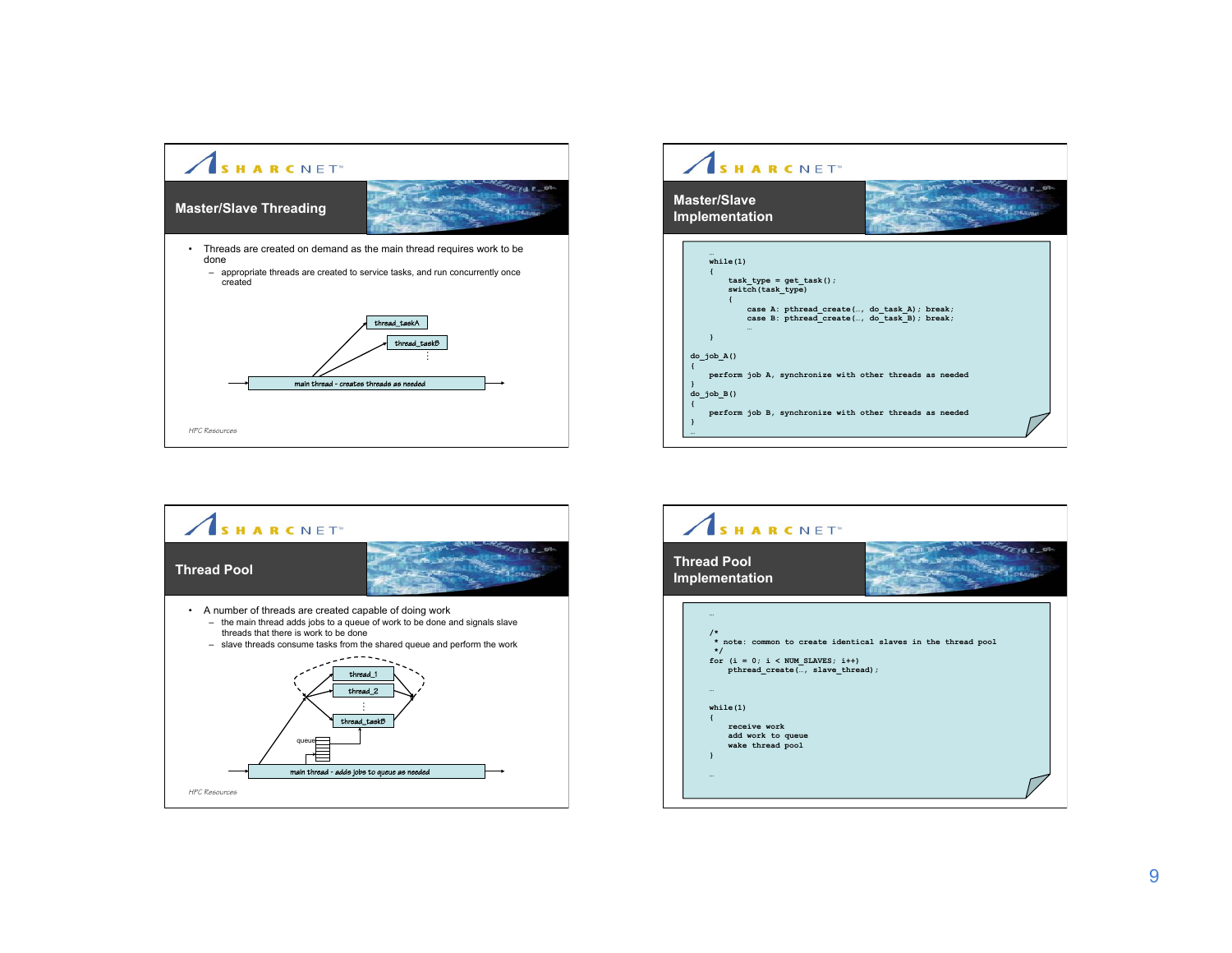





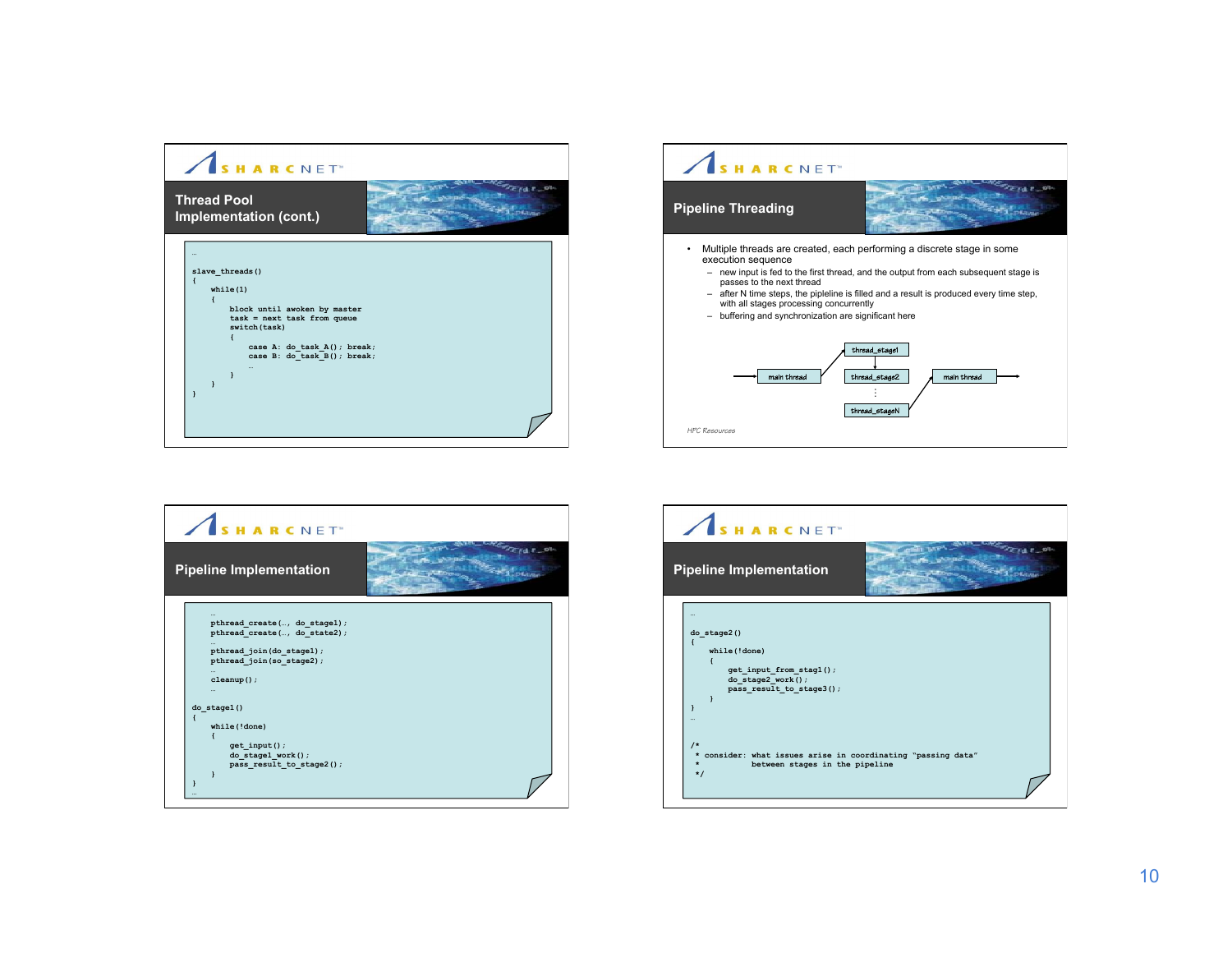